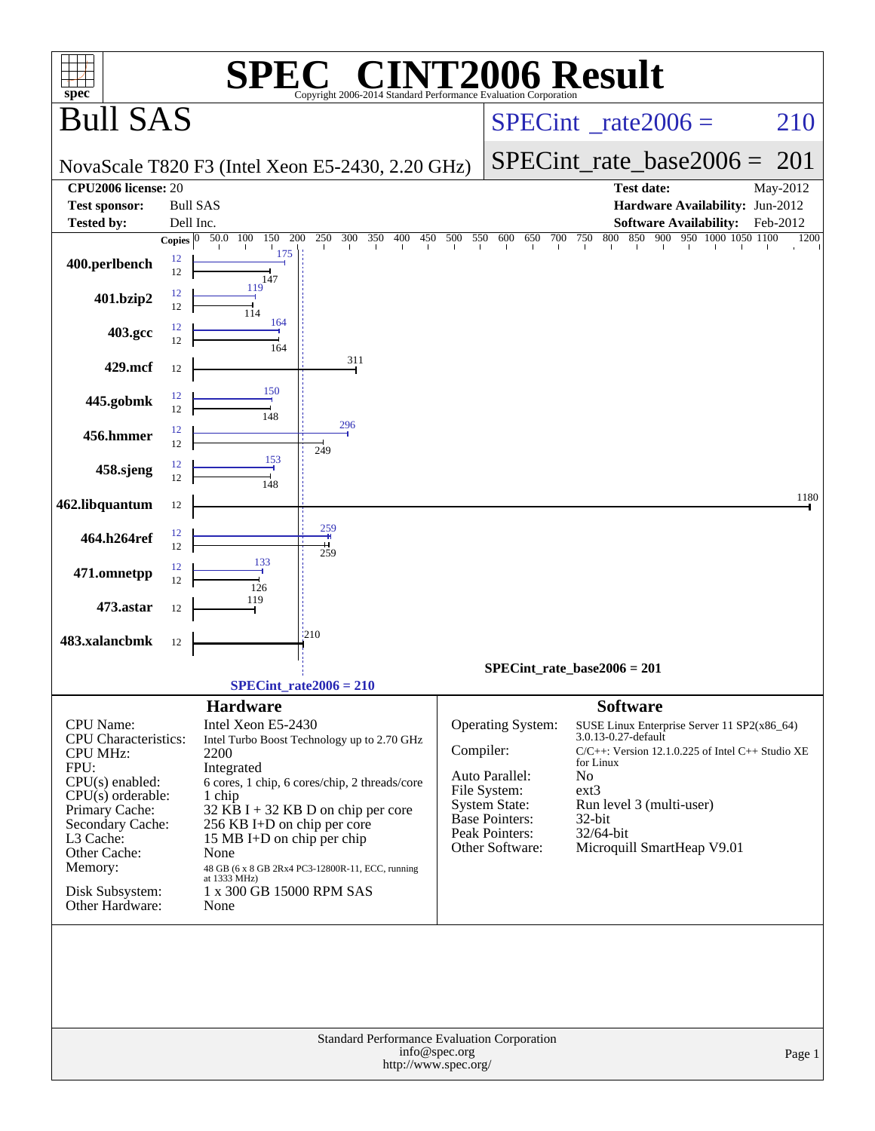| <b>INT2006 Result</b><br>$spec^*$<br>Copyright 2006-2014 Standard Performance Evaluation Corporation<br><b>Bull SAS</b><br>210<br>$SPECint^{\circ}$ <sub>_rate2006</sub> =<br>SPECint rate base $2006 =$<br>201<br>NovaScale T820 F3 (Intel Xeon E5-2430, 2.20 GHz)<br>CPU <sub>2006</sub> license: 20<br><b>Test date:</b><br>May-2012<br><b>Bull SAS</b><br>Hardware Availability: Jun-2012<br><b>Test sponsor:</b><br><b>Tested by:</b><br><b>Software Availability:</b><br>Dell Inc.<br>Feb-2012<br>300<br>800 850 900 950 1000 1050 1100<br>50.0 100<br>200<br>250<br>350<br>400<br>450 500<br>550 600 650 700 750<br>Copies $ 0 $<br>150<br>1200<br>175<br>12<br>400.perlbench<br>12<br>147<br>119<br>12<br>401.bzip2<br>12<br>114<br>164<br>12<br>403.gcc<br>12<br>164<br>311<br>429.mcf<br>12<br>150<br>12<br>445.gobmk<br>12<br>148<br>296<br>12<br>456.hmmer<br>12<br>249<br>153<br>12<br>458.sjeng<br>12<br>148<br>1180<br>462.libquantum<br>12<br>259<br>12<br>464.h264ref<br>12<br>259<br>133<br>12<br>471.omnetpp<br>12<br>126<br>119<br>473.astar<br>12<br>1210<br>483.xalancbmk<br>12<br>$SPECint_rate_base2006 = 201$<br>SPECint rate $2006 = 210$<br><b>Hardware</b><br><b>Software</b><br>CPU Name:<br>Intel Xeon E5-2430<br><b>Operating System:</b><br>SUSE Linux Enterprise Server 11 SP2(x86_64)<br>3.0.13-0.27-default<br><b>CPU</b> Characteristics:<br>Intel Turbo Boost Technology up to 2.70 GHz<br>Compiler:<br>$C/C++$ : Version 12.1.0.225 of Intel $C++$ Studio XE<br><b>CPU MHz:</b><br>2200<br>for Linux<br>FPU:<br>Integrated<br>N <sub>o</sub><br>Auto Parallel:<br>$CPU(s)$ enabled:<br>6 cores, 1 chip, 6 cores/chip, 2 threads/core<br>File System:<br>$ext{3}$<br>$CPU(s)$ orderable:<br>1 chip<br>Run level 3 (multi-user)<br><b>System State:</b><br>Primary Cache:<br>$32$ KB I + 32 KB D on chip per core<br>Base Pointers:<br>$32$ -bit<br>Secondary Cache:<br>256 KB I+D on chip per core<br>Peak Pointers:<br>32/64-bit<br>L3 Cache:<br>15 MB I+D on chip per chip<br>Microquill SmartHeap V9.01<br>Other Software:<br>Other Cache:<br>None<br>Memory:<br>48 GB (6 x 8 GB 2Rx4 PC3-12800R-11, ECC, running<br>at 1333 MHz)<br>1 x 300 GB 15000 RPM SAS<br>Disk Subsystem:<br>Other Hardware:<br>None<br>Standard Performance Evaluation Corporation<br>info@spec.org<br>Page 1<br>http://www.spec.org/ |  | $\mathbf{P}(\mathbb{R})$ |  |  |
|-------------------------------------------------------------------------------------------------------------------------------------------------------------------------------------------------------------------------------------------------------------------------------------------------------------------------------------------------------------------------------------------------------------------------------------------------------------------------------------------------------------------------------------------------------------------------------------------------------------------------------------------------------------------------------------------------------------------------------------------------------------------------------------------------------------------------------------------------------------------------------------------------------------------------------------------------------------------------------------------------------------------------------------------------------------------------------------------------------------------------------------------------------------------------------------------------------------------------------------------------------------------------------------------------------------------------------------------------------------------------------------------------------------------------------------------------------------------------------------------------------------------------------------------------------------------------------------------------------------------------------------------------------------------------------------------------------------------------------------------------------------------------------------------------------------------------------------------------------------------------------------------------------------------------------------------------------------------------------------------------------------------------------------------------------------------------------------------------------------------------------------------------------------------------------------------------------------------------------------------------------------------------------------------------------------------------------------------------------|--|--------------------------|--|--|
|                                                                                                                                                                                                                                                                                                                                                                                                                                                                                                                                                                                                                                                                                                                                                                                                                                                                                                                                                                                                                                                                                                                                                                                                                                                                                                                                                                                                                                                                                                                                                                                                                                                                                                                                                                                                                                                                                                                                                                                                                                                                                                                                                                                                                                                                                                                                                       |  |                          |  |  |
|                                                                                                                                                                                                                                                                                                                                                                                                                                                                                                                                                                                                                                                                                                                                                                                                                                                                                                                                                                                                                                                                                                                                                                                                                                                                                                                                                                                                                                                                                                                                                                                                                                                                                                                                                                                                                                                                                                                                                                                                                                                                                                                                                                                                                                                                                                                                                       |  |                          |  |  |
|                                                                                                                                                                                                                                                                                                                                                                                                                                                                                                                                                                                                                                                                                                                                                                                                                                                                                                                                                                                                                                                                                                                                                                                                                                                                                                                                                                                                                                                                                                                                                                                                                                                                                                                                                                                                                                                                                                                                                                                                                                                                                                                                                                                                                                                                                                                                                       |  |                          |  |  |
|                                                                                                                                                                                                                                                                                                                                                                                                                                                                                                                                                                                                                                                                                                                                                                                                                                                                                                                                                                                                                                                                                                                                                                                                                                                                                                                                                                                                                                                                                                                                                                                                                                                                                                                                                                                                                                                                                                                                                                                                                                                                                                                                                                                                                                                                                                                                                       |  |                          |  |  |
|                                                                                                                                                                                                                                                                                                                                                                                                                                                                                                                                                                                                                                                                                                                                                                                                                                                                                                                                                                                                                                                                                                                                                                                                                                                                                                                                                                                                                                                                                                                                                                                                                                                                                                                                                                                                                                                                                                                                                                                                                                                                                                                                                                                                                                                                                                                                                       |  |                          |  |  |
|                                                                                                                                                                                                                                                                                                                                                                                                                                                                                                                                                                                                                                                                                                                                                                                                                                                                                                                                                                                                                                                                                                                                                                                                                                                                                                                                                                                                                                                                                                                                                                                                                                                                                                                                                                                                                                                                                                                                                                                                                                                                                                                                                                                                                                                                                                                                                       |  |                          |  |  |
|                                                                                                                                                                                                                                                                                                                                                                                                                                                                                                                                                                                                                                                                                                                                                                                                                                                                                                                                                                                                                                                                                                                                                                                                                                                                                                                                                                                                                                                                                                                                                                                                                                                                                                                                                                                                                                                                                                                                                                                                                                                                                                                                                                                                                                                                                                                                                       |  |                          |  |  |
|                                                                                                                                                                                                                                                                                                                                                                                                                                                                                                                                                                                                                                                                                                                                                                                                                                                                                                                                                                                                                                                                                                                                                                                                                                                                                                                                                                                                                                                                                                                                                                                                                                                                                                                                                                                                                                                                                                                                                                                                                                                                                                                                                                                                                                                                                                                                                       |  |                          |  |  |
|                                                                                                                                                                                                                                                                                                                                                                                                                                                                                                                                                                                                                                                                                                                                                                                                                                                                                                                                                                                                                                                                                                                                                                                                                                                                                                                                                                                                                                                                                                                                                                                                                                                                                                                                                                                                                                                                                                                                                                                                                                                                                                                                                                                                                                                                                                                                                       |  |                          |  |  |
|                                                                                                                                                                                                                                                                                                                                                                                                                                                                                                                                                                                                                                                                                                                                                                                                                                                                                                                                                                                                                                                                                                                                                                                                                                                                                                                                                                                                                                                                                                                                                                                                                                                                                                                                                                                                                                                                                                                                                                                                                                                                                                                                                                                                                                                                                                                                                       |  |                          |  |  |
|                                                                                                                                                                                                                                                                                                                                                                                                                                                                                                                                                                                                                                                                                                                                                                                                                                                                                                                                                                                                                                                                                                                                                                                                                                                                                                                                                                                                                                                                                                                                                                                                                                                                                                                                                                                                                                                                                                                                                                                                                                                                                                                                                                                                                                                                                                                                                       |  |                          |  |  |
|                                                                                                                                                                                                                                                                                                                                                                                                                                                                                                                                                                                                                                                                                                                                                                                                                                                                                                                                                                                                                                                                                                                                                                                                                                                                                                                                                                                                                                                                                                                                                                                                                                                                                                                                                                                                                                                                                                                                                                                                                                                                                                                                                                                                                                                                                                                                                       |  |                          |  |  |
|                                                                                                                                                                                                                                                                                                                                                                                                                                                                                                                                                                                                                                                                                                                                                                                                                                                                                                                                                                                                                                                                                                                                                                                                                                                                                                                                                                                                                                                                                                                                                                                                                                                                                                                                                                                                                                                                                                                                                                                                                                                                                                                                                                                                                                                                                                                                                       |  |                          |  |  |
|                                                                                                                                                                                                                                                                                                                                                                                                                                                                                                                                                                                                                                                                                                                                                                                                                                                                                                                                                                                                                                                                                                                                                                                                                                                                                                                                                                                                                                                                                                                                                                                                                                                                                                                                                                                                                                                                                                                                                                                                                                                                                                                                                                                                                                                                                                                                                       |  |                          |  |  |
|                                                                                                                                                                                                                                                                                                                                                                                                                                                                                                                                                                                                                                                                                                                                                                                                                                                                                                                                                                                                                                                                                                                                                                                                                                                                                                                                                                                                                                                                                                                                                                                                                                                                                                                                                                                                                                                                                                                                                                                                                                                                                                                                                                                                                                                                                                                                                       |  |                          |  |  |
|                                                                                                                                                                                                                                                                                                                                                                                                                                                                                                                                                                                                                                                                                                                                                                                                                                                                                                                                                                                                                                                                                                                                                                                                                                                                                                                                                                                                                                                                                                                                                                                                                                                                                                                                                                                                                                                                                                                                                                                                                                                                                                                                                                                                                                                                                                                                                       |  |                          |  |  |
|                                                                                                                                                                                                                                                                                                                                                                                                                                                                                                                                                                                                                                                                                                                                                                                                                                                                                                                                                                                                                                                                                                                                                                                                                                                                                                                                                                                                                                                                                                                                                                                                                                                                                                                                                                                                                                                                                                                                                                                                                                                                                                                                                                                                                                                                                                                                                       |  |                          |  |  |
|                                                                                                                                                                                                                                                                                                                                                                                                                                                                                                                                                                                                                                                                                                                                                                                                                                                                                                                                                                                                                                                                                                                                                                                                                                                                                                                                                                                                                                                                                                                                                                                                                                                                                                                                                                                                                                                                                                                                                                                                                                                                                                                                                                                                                                                                                                                                                       |  |                          |  |  |
|                                                                                                                                                                                                                                                                                                                                                                                                                                                                                                                                                                                                                                                                                                                                                                                                                                                                                                                                                                                                                                                                                                                                                                                                                                                                                                                                                                                                                                                                                                                                                                                                                                                                                                                                                                                                                                                                                                                                                                                                                                                                                                                                                                                                                                                                                                                                                       |  |                          |  |  |
|                                                                                                                                                                                                                                                                                                                                                                                                                                                                                                                                                                                                                                                                                                                                                                                                                                                                                                                                                                                                                                                                                                                                                                                                                                                                                                                                                                                                                                                                                                                                                                                                                                                                                                                                                                                                                                                                                                                                                                                                                                                                                                                                                                                                                                                                                                                                                       |  |                          |  |  |
|                                                                                                                                                                                                                                                                                                                                                                                                                                                                                                                                                                                                                                                                                                                                                                                                                                                                                                                                                                                                                                                                                                                                                                                                                                                                                                                                                                                                                                                                                                                                                                                                                                                                                                                                                                                                                                                                                                                                                                                                                                                                                                                                                                                                                                                                                                                                                       |  |                          |  |  |
|                                                                                                                                                                                                                                                                                                                                                                                                                                                                                                                                                                                                                                                                                                                                                                                                                                                                                                                                                                                                                                                                                                                                                                                                                                                                                                                                                                                                                                                                                                                                                                                                                                                                                                                                                                                                                                                                                                                                                                                                                                                                                                                                                                                                                                                                                                                                                       |  |                          |  |  |
|                                                                                                                                                                                                                                                                                                                                                                                                                                                                                                                                                                                                                                                                                                                                                                                                                                                                                                                                                                                                                                                                                                                                                                                                                                                                                                                                                                                                                                                                                                                                                                                                                                                                                                                                                                                                                                                                                                                                                                                                                                                                                                                                                                                                                                                                                                                                                       |  |                          |  |  |
|                                                                                                                                                                                                                                                                                                                                                                                                                                                                                                                                                                                                                                                                                                                                                                                                                                                                                                                                                                                                                                                                                                                                                                                                                                                                                                                                                                                                                                                                                                                                                                                                                                                                                                                                                                                                                                                                                                                                                                                                                                                                                                                                                                                                                                                                                                                                                       |  |                          |  |  |
|                                                                                                                                                                                                                                                                                                                                                                                                                                                                                                                                                                                                                                                                                                                                                                                                                                                                                                                                                                                                                                                                                                                                                                                                                                                                                                                                                                                                                                                                                                                                                                                                                                                                                                                                                                                                                                                                                                                                                                                                                                                                                                                                                                                                                                                                                                                                                       |  |                          |  |  |
|                                                                                                                                                                                                                                                                                                                                                                                                                                                                                                                                                                                                                                                                                                                                                                                                                                                                                                                                                                                                                                                                                                                                                                                                                                                                                                                                                                                                                                                                                                                                                                                                                                                                                                                                                                                                                                                                                                                                                                                                                                                                                                                                                                                                                                                                                                                                                       |  |                          |  |  |
|                                                                                                                                                                                                                                                                                                                                                                                                                                                                                                                                                                                                                                                                                                                                                                                                                                                                                                                                                                                                                                                                                                                                                                                                                                                                                                                                                                                                                                                                                                                                                                                                                                                                                                                                                                                                                                                                                                                                                                                                                                                                                                                                                                                                                                                                                                                                                       |  |                          |  |  |
|                                                                                                                                                                                                                                                                                                                                                                                                                                                                                                                                                                                                                                                                                                                                                                                                                                                                                                                                                                                                                                                                                                                                                                                                                                                                                                                                                                                                                                                                                                                                                                                                                                                                                                                                                                                                                                                                                                                                                                                                                                                                                                                                                                                                                                                                                                                                                       |  |                          |  |  |
|                                                                                                                                                                                                                                                                                                                                                                                                                                                                                                                                                                                                                                                                                                                                                                                                                                                                                                                                                                                                                                                                                                                                                                                                                                                                                                                                                                                                                                                                                                                                                                                                                                                                                                                                                                                                                                                                                                                                                                                                                                                                                                                                                                                                                                                                                                                                                       |  |                          |  |  |
|                                                                                                                                                                                                                                                                                                                                                                                                                                                                                                                                                                                                                                                                                                                                                                                                                                                                                                                                                                                                                                                                                                                                                                                                                                                                                                                                                                                                                                                                                                                                                                                                                                                                                                                                                                                                                                                                                                                                                                                                                                                                                                                                                                                                                                                                                                                                                       |  |                          |  |  |
|                                                                                                                                                                                                                                                                                                                                                                                                                                                                                                                                                                                                                                                                                                                                                                                                                                                                                                                                                                                                                                                                                                                                                                                                                                                                                                                                                                                                                                                                                                                                                                                                                                                                                                                                                                                                                                                                                                                                                                                                                                                                                                                                                                                                                                                                                                                                                       |  |                          |  |  |
|                                                                                                                                                                                                                                                                                                                                                                                                                                                                                                                                                                                                                                                                                                                                                                                                                                                                                                                                                                                                                                                                                                                                                                                                                                                                                                                                                                                                                                                                                                                                                                                                                                                                                                                                                                                                                                                                                                                                                                                                                                                                                                                                                                                                                                                                                                                                                       |  |                          |  |  |
|                                                                                                                                                                                                                                                                                                                                                                                                                                                                                                                                                                                                                                                                                                                                                                                                                                                                                                                                                                                                                                                                                                                                                                                                                                                                                                                                                                                                                                                                                                                                                                                                                                                                                                                                                                                                                                                                                                                                                                                                                                                                                                                                                                                                                                                                                                                                                       |  |                          |  |  |
|                                                                                                                                                                                                                                                                                                                                                                                                                                                                                                                                                                                                                                                                                                                                                                                                                                                                                                                                                                                                                                                                                                                                                                                                                                                                                                                                                                                                                                                                                                                                                                                                                                                                                                                                                                                                                                                                                                                                                                                                                                                                                                                                                                                                                                                                                                                                                       |  |                          |  |  |
|                                                                                                                                                                                                                                                                                                                                                                                                                                                                                                                                                                                                                                                                                                                                                                                                                                                                                                                                                                                                                                                                                                                                                                                                                                                                                                                                                                                                                                                                                                                                                                                                                                                                                                                                                                                                                                                                                                                                                                                                                                                                                                                                                                                                                                                                                                                                                       |  |                          |  |  |
|                                                                                                                                                                                                                                                                                                                                                                                                                                                                                                                                                                                                                                                                                                                                                                                                                                                                                                                                                                                                                                                                                                                                                                                                                                                                                                                                                                                                                                                                                                                                                                                                                                                                                                                                                                                                                                                                                                                                                                                                                                                                                                                                                                                                                                                                                                                                                       |  |                          |  |  |
|                                                                                                                                                                                                                                                                                                                                                                                                                                                                                                                                                                                                                                                                                                                                                                                                                                                                                                                                                                                                                                                                                                                                                                                                                                                                                                                                                                                                                                                                                                                                                                                                                                                                                                                                                                                                                                                                                                                                                                                                                                                                                                                                                                                                                                                                                                                                                       |  |                          |  |  |
|                                                                                                                                                                                                                                                                                                                                                                                                                                                                                                                                                                                                                                                                                                                                                                                                                                                                                                                                                                                                                                                                                                                                                                                                                                                                                                                                                                                                                                                                                                                                                                                                                                                                                                                                                                                                                                                                                                                                                                                                                                                                                                                                                                                                                                                                                                                                                       |  |                          |  |  |
|                                                                                                                                                                                                                                                                                                                                                                                                                                                                                                                                                                                                                                                                                                                                                                                                                                                                                                                                                                                                                                                                                                                                                                                                                                                                                                                                                                                                                                                                                                                                                                                                                                                                                                                                                                                                                                                                                                                                                                                                                                                                                                                                                                                                                                                                                                                                                       |  |                          |  |  |
|                                                                                                                                                                                                                                                                                                                                                                                                                                                                                                                                                                                                                                                                                                                                                                                                                                                                                                                                                                                                                                                                                                                                                                                                                                                                                                                                                                                                                                                                                                                                                                                                                                                                                                                                                                                                                                                                                                                                                                                                                                                                                                                                                                                                                                                                                                                                                       |  |                          |  |  |
|                                                                                                                                                                                                                                                                                                                                                                                                                                                                                                                                                                                                                                                                                                                                                                                                                                                                                                                                                                                                                                                                                                                                                                                                                                                                                                                                                                                                                                                                                                                                                                                                                                                                                                                                                                                                                                                                                                                                                                                                                                                                                                                                                                                                                                                                                                                                                       |  |                          |  |  |
|                                                                                                                                                                                                                                                                                                                                                                                                                                                                                                                                                                                                                                                                                                                                                                                                                                                                                                                                                                                                                                                                                                                                                                                                                                                                                                                                                                                                                                                                                                                                                                                                                                                                                                                                                                                                                                                                                                                                                                                                                                                                                                                                                                                                                                                                                                                                                       |  |                          |  |  |
|                                                                                                                                                                                                                                                                                                                                                                                                                                                                                                                                                                                                                                                                                                                                                                                                                                                                                                                                                                                                                                                                                                                                                                                                                                                                                                                                                                                                                                                                                                                                                                                                                                                                                                                                                                                                                                                                                                                                                                                                                                                                                                                                                                                                                                                                                                                                                       |  |                          |  |  |
|                                                                                                                                                                                                                                                                                                                                                                                                                                                                                                                                                                                                                                                                                                                                                                                                                                                                                                                                                                                                                                                                                                                                                                                                                                                                                                                                                                                                                                                                                                                                                                                                                                                                                                                                                                                                                                                                                                                                                                                                                                                                                                                                                                                                                                                                                                                                                       |  |                          |  |  |
|                                                                                                                                                                                                                                                                                                                                                                                                                                                                                                                                                                                                                                                                                                                                                                                                                                                                                                                                                                                                                                                                                                                                                                                                                                                                                                                                                                                                                                                                                                                                                                                                                                                                                                                                                                                                                                                                                                                                                                                                                                                                                                                                                                                                                                                                                                                                                       |  |                          |  |  |
|                                                                                                                                                                                                                                                                                                                                                                                                                                                                                                                                                                                                                                                                                                                                                                                                                                                                                                                                                                                                                                                                                                                                                                                                                                                                                                                                                                                                                                                                                                                                                                                                                                                                                                                                                                                                                                                                                                                                                                                                                                                                                                                                                                                                                                                                                                                                                       |  |                          |  |  |
|                                                                                                                                                                                                                                                                                                                                                                                                                                                                                                                                                                                                                                                                                                                                                                                                                                                                                                                                                                                                                                                                                                                                                                                                                                                                                                                                                                                                                                                                                                                                                                                                                                                                                                                                                                                                                                                                                                                                                                                                                                                                                                                                                                                                                                                                                                                                                       |  |                          |  |  |
|                                                                                                                                                                                                                                                                                                                                                                                                                                                                                                                                                                                                                                                                                                                                                                                                                                                                                                                                                                                                                                                                                                                                                                                                                                                                                                                                                                                                                                                                                                                                                                                                                                                                                                                                                                                                                                                                                                                                                                                                                                                                                                                                                                                                                                                                                                                                                       |  |                          |  |  |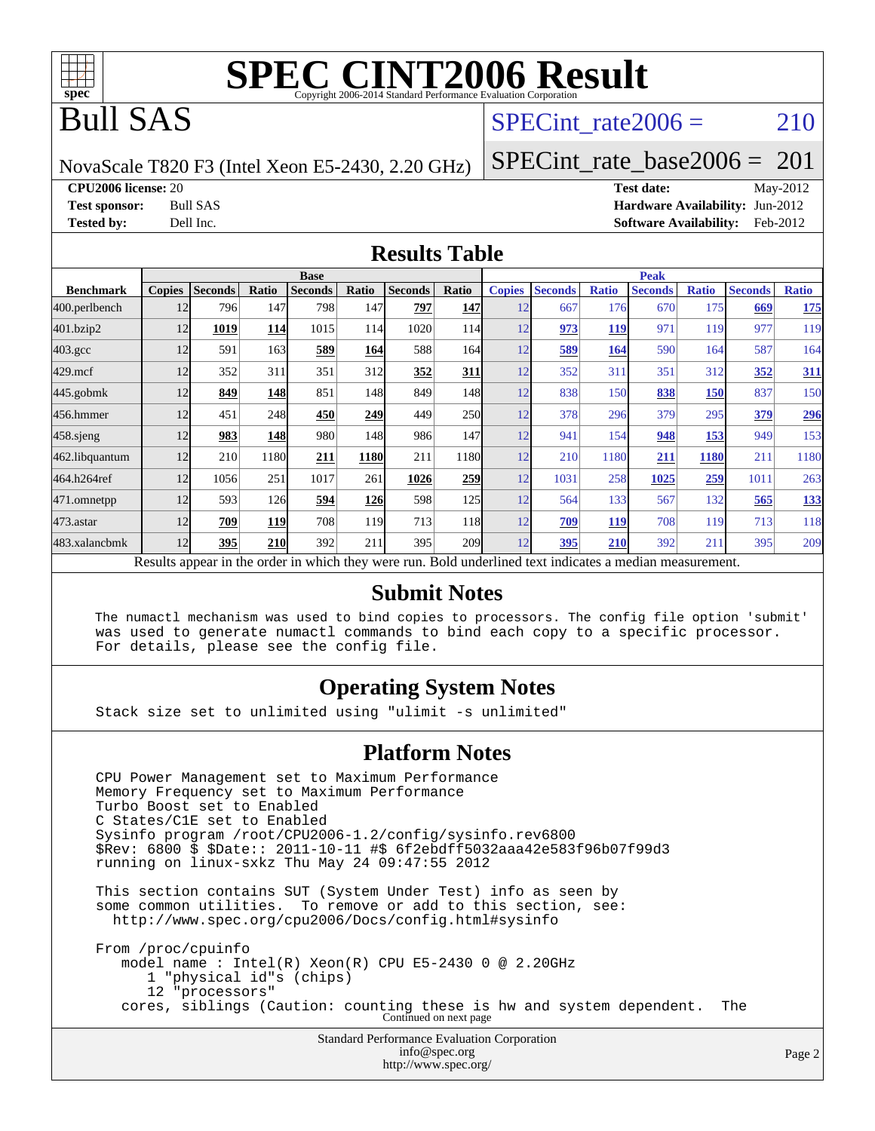

## Bull SAS

### SPECint rate $2006 = 210$

NovaScale T820 F3 (Intel Xeon E5-2430, 2.20 GHz)

[SPECint\\_rate\\_base2006 =](http://www.spec.org/auto/cpu2006/Docs/result-fields.html#SPECintratebase2006)  $201$ 

**[CPU2006 license:](http://www.spec.org/auto/cpu2006/Docs/result-fields.html#CPU2006license)** 20 **[Test date:](http://www.spec.org/auto/cpu2006/Docs/result-fields.html#Testdate)** May-2012

**[Test sponsor:](http://www.spec.org/auto/cpu2006/Docs/result-fields.html#Testsponsor)** Bull SAS **[Hardware Availability:](http://www.spec.org/auto/cpu2006/Docs/result-fields.html#HardwareAvailability)** Jun-2012 **[Tested by:](http://www.spec.org/auto/cpu2006/Docs/result-fields.html#Testedby)** Dell Inc. **[Software Availability:](http://www.spec.org/auto/cpu2006/Docs/result-fields.html#SoftwareAvailability)** Feb-2012

#### **[Results Table](http://www.spec.org/auto/cpu2006/Docs/result-fields.html#ResultsTable)**

|                                                                                                          | <b>Base</b>   |                |       |                |            |                |                  | <b>Peak</b>   |                |              |                |              |                |              |
|----------------------------------------------------------------------------------------------------------|---------------|----------------|-------|----------------|------------|----------------|------------------|---------------|----------------|--------------|----------------|--------------|----------------|--------------|
| <b>Benchmark</b>                                                                                         | <b>Copies</b> | <b>Seconds</b> | Ratio | <b>Seconds</b> | Ratio      | <b>Seconds</b> | Ratio            | <b>Copies</b> | <b>Seconds</b> | <b>Ratio</b> | <b>Seconds</b> | <b>Ratio</b> | <b>Seconds</b> | <b>Ratio</b> |
| 400.perlbench                                                                                            | 12            | 796            | 147   | 798            | 147        | 797            | <b>147</b>       | 12            | 667            | 176          | 670            | 175          | 669            | <b>175</b>   |
| 401.bzip2                                                                                                | 12            | 1019           | 114   | 1015           | 114        | 1020           | 114              | 12            | 973            | 119          | 971            | 119          | 977            | 119          |
| $403.\mathrm{gcc}$                                                                                       | 12            | 591            | 163   | 589            | 164        | 588            | 164              | 12            | 589            | 164          | 590            | 164          | 587            | 164          |
| $429$ .mcf                                                                                               | 12            | 352            | 311   | 351            | 312        | 352            | 311              | 12            | 352            | 311          | 351            | 312          | 352            | 311          |
| $445$ .gobm $k$                                                                                          | 12            | 849            | 148   | 851            | 148        | 849            | 148              | 12            | 838            | 150          | 838            | <u>150</u>   | 837            | 150          |
| 456.hmmer                                                                                                | 12            | 451            | 248   | 450            | 249        | 449            | <b>250</b>       | 12            | 378            | 296          | 379            | 295          | 379            | <u>296</u>   |
| 458 sjeng                                                                                                | 12            | 983            | 148   | 980            | 148        | 986            | 147I             | 12            | 941            | 154          | 948            | 153          | 949            | 153          |
| 462.libquantum                                                                                           | 12            | 210            | 1180  | 211            | 1180       | 211            | 1180             | 12            | 210            | 1180         | 211            | 1180         | 211            | 1180         |
| 464.h264ref                                                                                              | 12            | 1056           | 251   | 1017           | 261        | 1026           | 259              | 12            | 1031           | 258          | 1025           | 259          | 1011           | 263          |
| 471.omnetpp                                                                                              | 12            | 593            | 126   | 594            | <b>126</b> | 598            | 125              | 12            | 564            | 133          | 567            | 132          | 565            | 133          |
| $473.$ astar                                                                                             | 12            | 709            | 119   | 708            | 119        | 713            | 118              | 12            | 709            | 119          | 708            | 119          | 713            | 118          |
| 483.xalancbmk                                                                                            | 12            | 395            | 210   | 392            | 211        | 395            | 209 <sub>1</sub> | 12            | 395            | 210          | 392            | 211          | 395            | 209          |
| Results appear in the order in which they were run. Bold underlined text indicates a median measurement. |               |                |       |                |            |                |                  |               |                |              |                |              |                |              |

#### **[Submit Notes](http://www.spec.org/auto/cpu2006/Docs/result-fields.html#SubmitNotes)**

 The numactl mechanism was used to bind copies to processors. The config file option 'submit' was used to generate numactl commands to bind each copy to a specific processor. For details, please see the config file.

#### **[Operating System Notes](http://www.spec.org/auto/cpu2006/Docs/result-fields.html#OperatingSystemNotes)**

Stack size set to unlimited using "ulimit -s unlimited"

#### **[Platform Notes](http://www.spec.org/auto/cpu2006/Docs/result-fields.html#PlatformNotes)**

Standard Performance Evaluation Corporation [info@spec.org](mailto:info@spec.org) CPU Power Management set to Maximum Performance Memory Frequency set to Maximum Performance Turbo Boost set to Enabled C States/C1E set to Enabled Sysinfo program /root/CPU2006-1.2/config/sysinfo.rev6800 \$Rev: 6800 \$ \$Date:: 2011-10-11 #\$ 6f2ebdff5032aaa42e583f96b07f99d3 running on linux-sxkz Thu May 24 09:47:55 2012 This section contains SUT (System Under Test) info as seen by some common utilities. To remove or add to this section, see: <http://www.spec.org/cpu2006/Docs/config.html#sysinfo> From /proc/cpuinfo model name : Intel(R) Xeon(R) CPU E5-2430 0 @ 2.20GHz 1 "physical id"s (chips) 12 "processors" cores, siblings (Caution: counting these is hw and system dependent. The Continued on next page

<http://www.spec.org/>

Page 2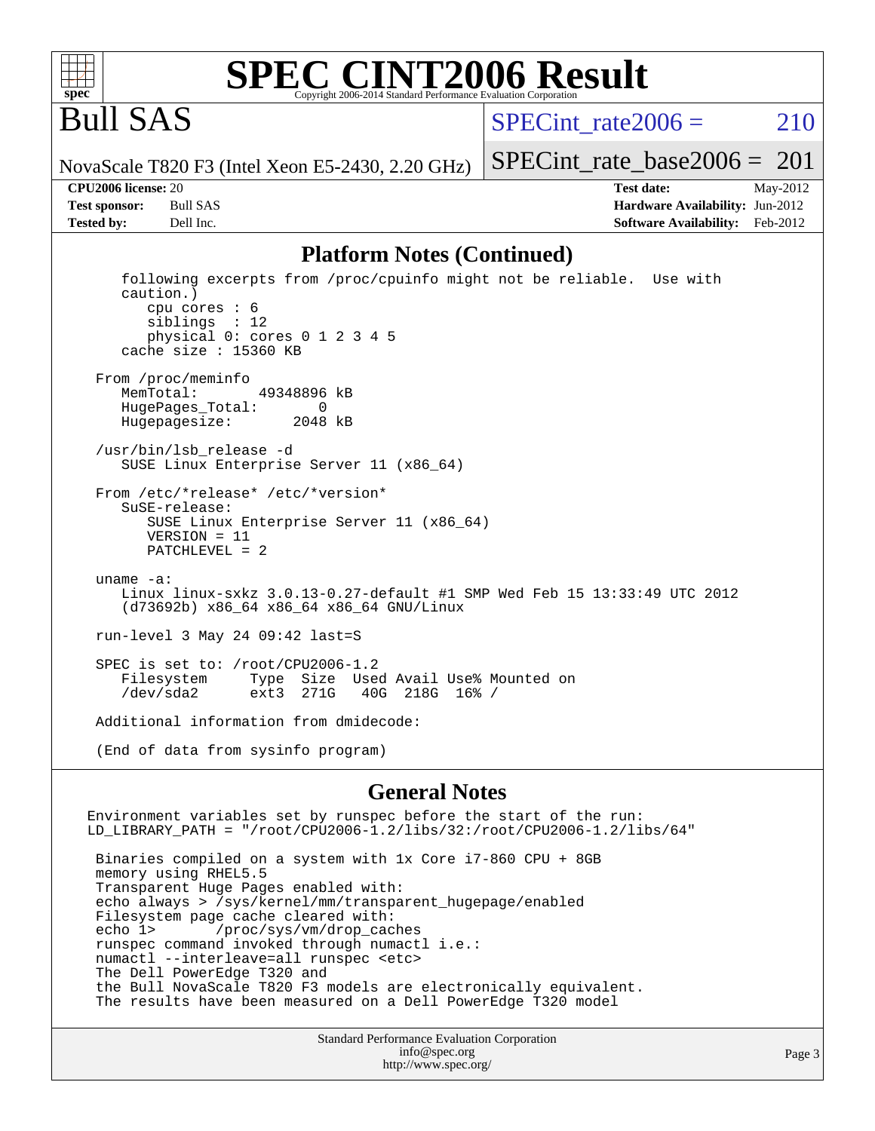

#### **[SPEC CINT2006 Result](http://www.spec.org/auto/cpu2006/Docs/result-fields.html#SPECCINT2006Result)** Copyright 2006-2014 Standard Performance Evaluation C

Bull SAS

SPECint rate $2006 = 210$ 

[SPECint\\_rate\\_base2006 =](http://www.spec.org/auto/cpu2006/Docs/result-fields.html#SPECintratebase2006)  $201$ 

NovaScale T820 F3 (Intel Xeon E5-2430, 2.20 GHz)

**[Tested by:](http://www.spec.org/auto/cpu2006/Docs/result-fields.html#Testedby)** Dell Inc. **[Software Availability:](http://www.spec.org/auto/cpu2006/Docs/result-fields.html#SoftwareAvailability)** Feb-2012

**[CPU2006 license:](http://www.spec.org/auto/cpu2006/Docs/result-fields.html#CPU2006license)** 20 **[Test date:](http://www.spec.org/auto/cpu2006/Docs/result-fields.html#Testdate)** May-2012 **[Test sponsor:](http://www.spec.org/auto/cpu2006/Docs/result-fields.html#Testsponsor)** Bull SAS **[Hardware Availability:](http://www.spec.org/auto/cpu2006/Docs/result-fields.html#HardwareAvailability)** Jun-2012

#### **[Platform Notes \(Continued\)](http://www.spec.org/auto/cpu2006/Docs/result-fields.html#PlatformNotes)**

 following excerpts from /proc/cpuinfo might not be reliable. Use with caution.) cpu cores : 6 siblings : 12 physical 0: cores 0 1 2 3 4 5 cache size : 15360 KB From /proc/meminfo MemTotal: 49348896 kB HugePages\_Total: 0<br>Hugepagesize: 2048 kB Hugepagesize: /usr/bin/lsb\_release -d SUSE Linux Enterprise Server 11 (x86\_64) From /etc/\*release\* /etc/\*version\* SuSE-release: SUSE Linux Enterprise Server 11 (x86\_64) VERSION = 11 PATCHLEVEL = 2 uname -a: Linux linux-sxkz 3.0.13-0.27-default #1 SMP Wed Feb 15 13:33:49 UTC 2012 (d73692b) x86\_64 x86\_64 x86\_64 GNU/Linux run-level 3 May 24 09:42 last=S SPEC is set to: /root/CPU2006-1.2<br>Filesystem Type Size Use Type Size Used Avail Use% Mounted on /dev/sda2 ext3 271G 40G 218G 16% / Additional information from dmidecode: (End of data from sysinfo program)

#### **[General Notes](http://www.spec.org/auto/cpu2006/Docs/result-fields.html#GeneralNotes)**

Environment variables set by runspec before the start of the run: LD\_LIBRARY\_PATH = "/root/CPU2006-1.2/libs/32:/root/CPU2006-1.2/libs/64" Binaries compiled on a system with 1x Core i7-860 CPU + 8GB memory using RHEL5.5 Transparent Huge Pages enabled with: echo always > /sys/kernel/mm/transparent\_hugepage/enabled Filesystem page cache cleared with: echo 1> /proc/sys/vm/drop\_caches runspec command invoked through numactl i.e.: numactl --interleave=all runspec <etc> The Dell PowerEdge T320 and the Bull NovaScale T820 F3 models are electronically equivalent. The results have been measured on a Dell PowerEdge T320 model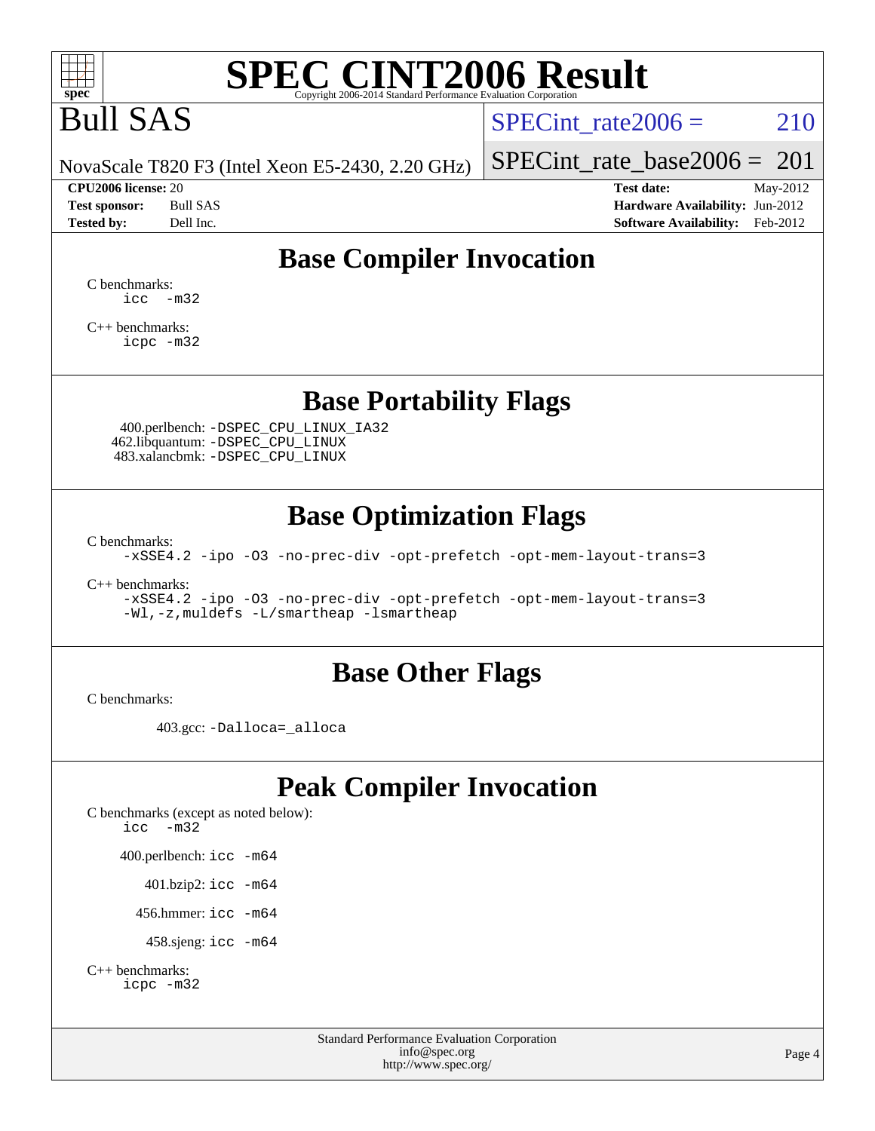

# Bull SAS

SPECint rate $2006 = 210$ 

NovaScale T820 F3 (Intel Xeon E5-2430, 2.20 GHz)

**[CPU2006 license:](http://www.spec.org/auto/cpu2006/Docs/result-fields.html#CPU2006license)** 20 **[Test date:](http://www.spec.org/auto/cpu2006/Docs/result-fields.html#Testdate)** May-2012

[SPECint\\_rate\\_base2006 =](http://www.spec.org/auto/cpu2006/Docs/result-fields.html#SPECintratebase2006)  $201$ 

**[Test sponsor:](http://www.spec.org/auto/cpu2006/Docs/result-fields.html#Testsponsor)** Bull SAS **[Hardware Availability:](http://www.spec.org/auto/cpu2006/Docs/result-fields.html#HardwareAvailability)** Jun-2012 **[Tested by:](http://www.spec.org/auto/cpu2006/Docs/result-fields.html#Testedby)** Dell Inc. **[Software Availability:](http://www.spec.org/auto/cpu2006/Docs/result-fields.html#SoftwareAvailability)** Feb-2012

### **[Base Compiler Invocation](http://www.spec.org/auto/cpu2006/Docs/result-fields.html#BaseCompilerInvocation)**

[C benchmarks](http://www.spec.org/auto/cpu2006/Docs/result-fields.html#Cbenchmarks):  $\text{icc}$   $-\text{m32}$ 

[C++ benchmarks:](http://www.spec.org/auto/cpu2006/Docs/result-fields.html#CXXbenchmarks) [icpc -m32](http://www.spec.org/cpu2006/results/res2012q3/cpu2006-20120703-23421.flags.html#user_CXXbase_intel_icpc_4e5a5ef1a53fd332b3c49e69c3330699)

**[Base Portability Flags](http://www.spec.org/auto/cpu2006/Docs/result-fields.html#BasePortabilityFlags)**

 400.perlbench: [-DSPEC\\_CPU\\_LINUX\\_IA32](http://www.spec.org/cpu2006/results/res2012q3/cpu2006-20120703-23421.flags.html#b400.perlbench_baseCPORTABILITY_DSPEC_CPU_LINUX_IA32) 462.libquantum: [-DSPEC\\_CPU\\_LINUX](http://www.spec.org/cpu2006/results/res2012q3/cpu2006-20120703-23421.flags.html#b462.libquantum_baseCPORTABILITY_DSPEC_CPU_LINUX) 483.xalancbmk: [-DSPEC\\_CPU\\_LINUX](http://www.spec.org/cpu2006/results/res2012q3/cpu2006-20120703-23421.flags.html#b483.xalancbmk_baseCXXPORTABILITY_DSPEC_CPU_LINUX)

### **[Base Optimization Flags](http://www.spec.org/auto/cpu2006/Docs/result-fields.html#BaseOptimizationFlags)**

[C benchmarks](http://www.spec.org/auto/cpu2006/Docs/result-fields.html#Cbenchmarks):

[-xSSE4.2](http://www.spec.org/cpu2006/results/res2012q3/cpu2006-20120703-23421.flags.html#user_CCbase_f-xSSE42_f91528193cf0b216347adb8b939d4107) [-ipo](http://www.spec.org/cpu2006/results/res2012q3/cpu2006-20120703-23421.flags.html#user_CCbase_f-ipo) [-O3](http://www.spec.org/cpu2006/results/res2012q3/cpu2006-20120703-23421.flags.html#user_CCbase_f-O3) [-no-prec-div](http://www.spec.org/cpu2006/results/res2012q3/cpu2006-20120703-23421.flags.html#user_CCbase_f-no-prec-div) [-opt-prefetch](http://www.spec.org/cpu2006/results/res2012q3/cpu2006-20120703-23421.flags.html#user_CCbase_f-opt-prefetch) [-opt-mem-layout-trans=3](http://www.spec.org/cpu2006/results/res2012q3/cpu2006-20120703-23421.flags.html#user_CCbase_f-opt-mem-layout-trans_a7b82ad4bd7abf52556d4961a2ae94d5)

[C++ benchmarks:](http://www.spec.org/auto/cpu2006/Docs/result-fields.html#CXXbenchmarks)

[-xSSE4.2](http://www.spec.org/cpu2006/results/res2012q3/cpu2006-20120703-23421.flags.html#user_CXXbase_f-xSSE42_f91528193cf0b216347adb8b939d4107) [-ipo](http://www.spec.org/cpu2006/results/res2012q3/cpu2006-20120703-23421.flags.html#user_CXXbase_f-ipo) [-O3](http://www.spec.org/cpu2006/results/res2012q3/cpu2006-20120703-23421.flags.html#user_CXXbase_f-O3) [-no-prec-div](http://www.spec.org/cpu2006/results/res2012q3/cpu2006-20120703-23421.flags.html#user_CXXbase_f-no-prec-div) [-opt-prefetch](http://www.spec.org/cpu2006/results/res2012q3/cpu2006-20120703-23421.flags.html#user_CXXbase_f-opt-prefetch) [-opt-mem-layout-trans=3](http://www.spec.org/cpu2006/results/res2012q3/cpu2006-20120703-23421.flags.html#user_CXXbase_f-opt-mem-layout-trans_a7b82ad4bd7abf52556d4961a2ae94d5) [-Wl,-z,muldefs](http://www.spec.org/cpu2006/results/res2012q3/cpu2006-20120703-23421.flags.html#user_CXXbase_link_force_multiple1_74079c344b956b9658436fd1b6dd3a8a) [-L/smartheap -lsmartheap](http://www.spec.org/cpu2006/results/res2012q3/cpu2006-20120703-23421.flags.html#user_CXXbase_SmartHeap_7c9e394a5779e1a7fec7c221e123830c)

#### **[Base Other Flags](http://www.spec.org/auto/cpu2006/Docs/result-fields.html#BaseOtherFlags)**

[C benchmarks](http://www.spec.org/auto/cpu2006/Docs/result-fields.html#Cbenchmarks):

403.gcc: [-Dalloca=\\_alloca](http://www.spec.org/cpu2006/results/res2012q3/cpu2006-20120703-23421.flags.html#b403.gcc_baseEXTRA_CFLAGS_Dalloca_be3056838c12de2578596ca5467af7f3)

## **[Peak Compiler Invocation](http://www.spec.org/auto/cpu2006/Docs/result-fields.html#PeakCompilerInvocation)**

[C benchmarks \(except as noted below\)](http://www.spec.org/auto/cpu2006/Docs/result-fields.html#Cbenchmarksexceptasnotedbelow): [icc -m32](http://www.spec.org/cpu2006/results/res2012q3/cpu2006-20120703-23421.flags.html#user_CCpeak_intel_icc_5ff4a39e364c98233615fdd38438c6f2) 400.perlbench: [icc -m64](http://www.spec.org/cpu2006/results/res2012q3/cpu2006-20120703-23421.flags.html#user_peakCCLD400_perlbench_intel_icc_64bit_bda6cc9af1fdbb0edc3795bac97ada53) 401.bzip2: [icc -m64](http://www.spec.org/cpu2006/results/res2012q3/cpu2006-20120703-23421.flags.html#user_peakCCLD401_bzip2_intel_icc_64bit_bda6cc9af1fdbb0edc3795bac97ada53)

456.hmmer: [icc -m64](http://www.spec.org/cpu2006/results/res2012q3/cpu2006-20120703-23421.flags.html#user_peakCCLD456_hmmer_intel_icc_64bit_bda6cc9af1fdbb0edc3795bac97ada53)

458.sjeng: [icc -m64](http://www.spec.org/cpu2006/results/res2012q3/cpu2006-20120703-23421.flags.html#user_peakCCLD458_sjeng_intel_icc_64bit_bda6cc9af1fdbb0edc3795bac97ada53)

```
C++ benchmarks: 
icpc -m32
```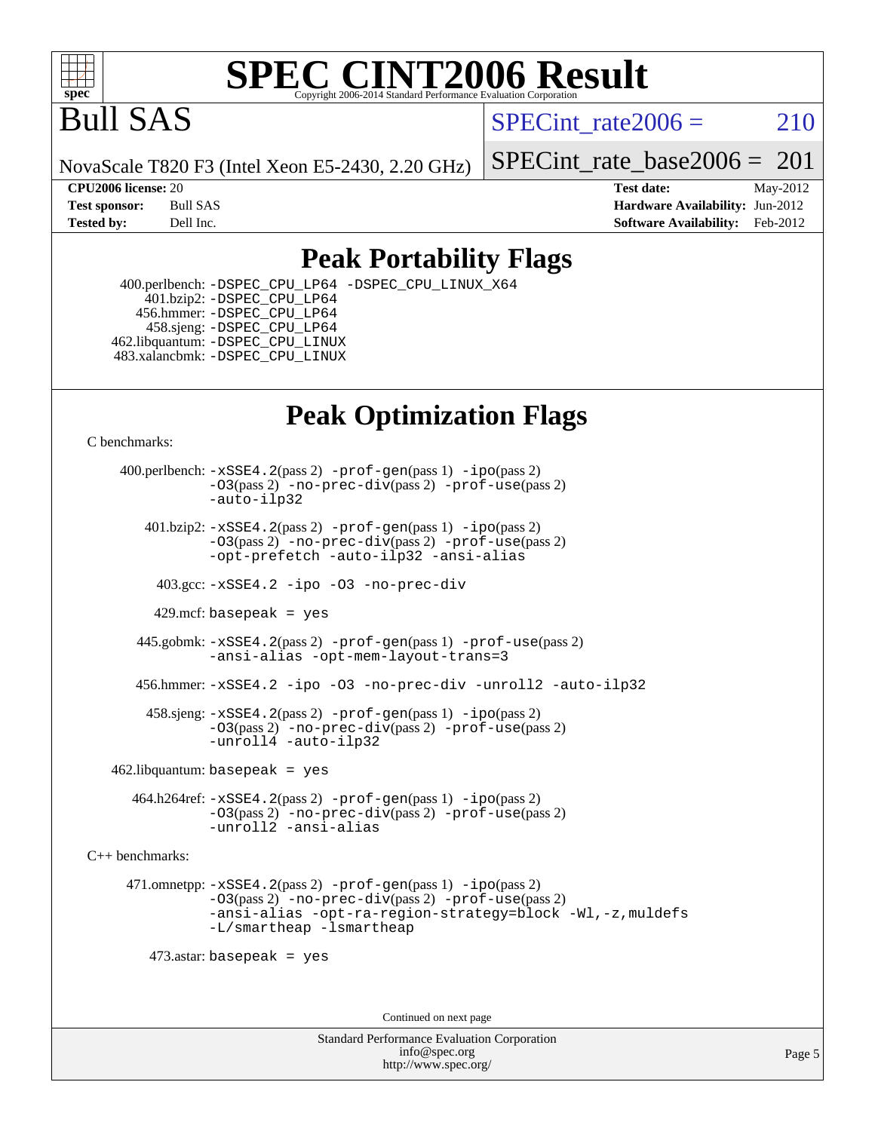

## Bull SAS

SPECint rate $2006 = 210$ 

NovaScale T820 F3 (Intel Xeon E5-2430, 2.20 GHz)

[SPECint\\_rate\\_base2006 =](http://www.spec.org/auto/cpu2006/Docs/result-fields.html#SPECintratebase2006)  $201$ 

**[CPU2006 license:](http://www.spec.org/auto/cpu2006/Docs/result-fields.html#CPU2006license)** 20 **[Test date:](http://www.spec.org/auto/cpu2006/Docs/result-fields.html#Testdate)** May-2012 **[Test sponsor:](http://www.spec.org/auto/cpu2006/Docs/result-fields.html#Testsponsor)** Bull SAS **[Hardware Availability:](http://www.spec.org/auto/cpu2006/Docs/result-fields.html#HardwareAvailability)** Jun-2012 **[Tested by:](http://www.spec.org/auto/cpu2006/Docs/result-fields.html#Testedby)** Dell Inc. **[Software Availability:](http://www.spec.org/auto/cpu2006/Docs/result-fields.html#SoftwareAvailability)** Feb-2012

### **[Peak Portability Flags](http://www.spec.org/auto/cpu2006/Docs/result-fields.html#PeakPortabilityFlags)**

 400.perlbench: [-DSPEC\\_CPU\\_LP64](http://www.spec.org/cpu2006/results/res2012q3/cpu2006-20120703-23421.flags.html#b400.perlbench_peakCPORTABILITY_DSPEC_CPU_LP64) [-DSPEC\\_CPU\\_LINUX\\_X64](http://www.spec.org/cpu2006/results/res2012q3/cpu2006-20120703-23421.flags.html#b400.perlbench_peakCPORTABILITY_DSPEC_CPU_LINUX_X64) 401.bzip2: [-DSPEC\\_CPU\\_LP64](http://www.spec.org/cpu2006/results/res2012q3/cpu2006-20120703-23421.flags.html#suite_peakCPORTABILITY401_bzip2_DSPEC_CPU_LP64) 456.hmmer: [-DSPEC\\_CPU\\_LP64](http://www.spec.org/cpu2006/results/res2012q3/cpu2006-20120703-23421.flags.html#suite_peakCPORTABILITY456_hmmer_DSPEC_CPU_LP64) 458.sjeng: [-DSPEC\\_CPU\\_LP64](http://www.spec.org/cpu2006/results/res2012q3/cpu2006-20120703-23421.flags.html#suite_peakCPORTABILITY458_sjeng_DSPEC_CPU_LP64) 462.libquantum: [-DSPEC\\_CPU\\_LINUX](http://www.spec.org/cpu2006/results/res2012q3/cpu2006-20120703-23421.flags.html#b462.libquantum_peakCPORTABILITY_DSPEC_CPU_LINUX) 483.xalancbmk: [-DSPEC\\_CPU\\_LINUX](http://www.spec.org/cpu2006/results/res2012q3/cpu2006-20120703-23421.flags.html#b483.xalancbmk_peakCXXPORTABILITY_DSPEC_CPU_LINUX)

## **[Peak Optimization Flags](http://www.spec.org/auto/cpu2006/Docs/result-fields.html#PeakOptimizationFlags)**

[C benchmarks](http://www.spec.org/auto/cpu2006/Docs/result-fields.html#Cbenchmarks):

 400.perlbench: [-xSSE4.2](http://www.spec.org/cpu2006/results/res2012q3/cpu2006-20120703-23421.flags.html#user_peakPASS2_CFLAGSPASS2_LDCFLAGS400_perlbench_f-xSSE42_f91528193cf0b216347adb8b939d4107)(pass 2) [-prof-gen](http://www.spec.org/cpu2006/results/res2012q3/cpu2006-20120703-23421.flags.html#user_peakPASS1_CFLAGSPASS1_LDCFLAGS400_perlbench_prof_gen_e43856698f6ca7b7e442dfd80e94a8fc)(pass 1) [-ipo](http://www.spec.org/cpu2006/results/res2012q3/cpu2006-20120703-23421.flags.html#user_peakPASS2_CFLAGSPASS2_LDCFLAGS400_perlbench_f-ipo)(pass 2) [-O3](http://www.spec.org/cpu2006/results/res2012q3/cpu2006-20120703-23421.flags.html#user_peakPASS2_CFLAGSPASS2_LDCFLAGS400_perlbench_f-O3)(pass 2) [-no-prec-div](http://www.spec.org/cpu2006/results/res2012q3/cpu2006-20120703-23421.flags.html#user_peakPASS2_CFLAGSPASS2_LDCFLAGS400_perlbench_f-no-prec-div)(pass 2) [-prof-use](http://www.spec.org/cpu2006/results/res2012q3/cpu2006-20120703-23421.flags.html#user_peakPASS2_CFLAGSPASS2_LDCFLAGS400_perlbench_prof_use_bccf7792157ff70d64e32fe3e1250b55)(pass 2) [-auto-ilp32](http://www.spec.org/cpu2006/results/res2012q3/cpu2006-20120703-23421.flags.html#user_peakCOPTIMIZE400_perlbench_f-auto-ilp32)  $401.bzip2: -xSSE4.2(pass 2) -prof-qen(pass 1) -ipo(pass 2)$  $401.bzip2: -xSSE4.2(pass 2) -prof-qen(pass 1) -ipo(pass 2)$  $401.bzip2: -xSSE4.2(pass 2) -prof-qen(pass 1) -ipo(pass 2)$  $401.bzip2: -xSSE4.2(pass 2) -prof-qen(pass 1) -ipo(pass 2)$  $401.bzip2: -xSSE4.2(pass 2) -prof-qen(pass 1) -ipo(pass 2)$ [-O3](http://www.spec.org/cpu2006/results/res2012q3/cpu2006-20120703-23421.flags.html#user_peakPASS2_CFLAGSPASS2_LDCFLAGS401_bzip2_f-O3)(pass 2) [-no-prec-div](http://www.spec.org/cpu2006/results/res2012q3/cpu2006-20120703-23421.flags.html#user_peakPASS2_CFLAGSPASS2_LDCFLAGS401_bzip2_f-no-prec-div)(pass 2) [-prof-use](http://www.spec.org/cpu2006/results/res2012q3/cpu2006-20120703-23421.flags.html#user_peakPASS2_CFLAGSPASS2_LDCFLAGS401_bzip2_prof_use_bccf7792157ff70d64e32fe3e1250b55)(pass 2) [-opt-prefetch](http://www.spec.org/cpu2006/results/res2012q3/cpu2006-20120703-23421.flags.html#user_peakCOPTIMIZE401_bzip2_f-opt-prefetch) [-auto-ilp32](http://www.spec.org/cpu2006/results/res2012q3/cpu2006-20120703-23421.flags.html#user_peakCOPTIMIZE401_bzip2_f-auto-ilp32) [-ansi-alias](http://www.spec.org/cpu2006/results/res2012q3/cpu2006-20120703-23421.flags.html#user_peakCOPTIMIZE401_bzip2_f-ansi-alias) 403.gcc: [-xSSE4.2](http://www.spec.org/cpu2006/results/res2012q3/cpu2006-20120703-23421.flags.html#user_peakCOPTIMIZE403_gcc_f-xSSE42_f91528193cf0b216347adb8b939d4107) [-ipo](http://www.spec.org/cpu2006/results/res2012q3/cpu2006-20120703-23421.flags.html#user_peakCOPTIMIZE403_gcc_f-ipo) [-O3](http://www.spec.org/cpu2006/results/res2012q3/cpu2006-20120703-23421.flags.html#user_peakCOPTIMIZE403_gcc_f-O3) [-no-prec-div](http://www.spec.org/cpu2006/results/res2012q3/cpu2006-20120703-23421.flags.html#user_peakCOPTIMIZE403_gcc_f-no-prec-div) 429.mcf: basepeak = yes 445.gobmk: [-xSSE4.2](http://www.spec.org/cpu2006/results/res2012q3/cpu2006-20120703-23421.flags.html#user_peakPASS2_CFLAGSPASS2_LDCFLAGS445_gobmk_f-xSSE42_f91528193cf0b216347adb8b939d4107)(pass 2) [-prof-gen](http://www.spec.org/cpu2006/results/res2012q3/cpu2006-20120703-23421.flags.html#user_peakPASS1_CFLAGSPASS1_LDCFLAGS445_gobmk_prof_gen_e43856698f6ca7b7e442dfd80e94a8fc)(pass 1) [-prof-use](http://www.spec.org/cpu2006/results/res2012q3/cpu2006-20120703-23421.flags.html#user_peakPASS2_CFLAGSPASS2_LDCFLAGS445_gobmk_prof_use_bccf7792157ff70d64e32fe3e1250b55)(pass 2) [-ansi-alias](http://www.spec.org/cpu2006/results/res2012q3/cpu2006-20120703-23421.flags.html#user_peakCOPTIMIZE445_gobmk_f-ansi-alias) [-opt-mem-layout-trans=3](http://www.spec.org/cpu2006/results/res2012q3/cpu2006-20120703-23421.flags.html#user_peakCOPTIMIZE445_gobmk_f-opt-mem-layout-trans_a7b82ad4bd7abf52556d4961a2ae94d5) 456.hmmer: [-xSSE4.2](http://www.spec.org/cpu2006/results/res2012q3/cpu2006-20120703-23421.flags.html#user_peakCOPTIMIZE456_hmmer_f-xSSE42_f91528193cf0b216347adb8b939d4107) [-ipo](http://www.spec.org/cpu2006/results/res2012q3/cpu2006-20120703-23421.flags.html#user_peakCOPTIMIZE456_hmmer_f-ipo) [-O3](http://www.spec.org/cpu2006/results/res2012q3/cpu2006-20120703-23421.flags.html#user_peakCOPTIMIZE456_hmmer_f-O3) [-no-prec-div](http://www.spec.org/cpu2006/results/res2012q3/cpu2006-20120703-23421.flags.html#user_peakCOPTIMIZE456_hmmer_f-no-prec-div) [-unroll2](http://www.spec.org/cpu2006/results/res2012q3/cpu2006-20120703-23421.flags.html#user_peakCOPTIMIZE456_hmmer_f-unroll_784dae83bebfb236979b41d2422d7ec2) [-auto-ilp32](http://www.spec.org/cpu2006/results/res2012q3/cpu2006-20120703-23421.flags.html#user_peakCOPTIMIZE456_hmmer_f-auto-ilp32) 458.sjeng: [-xSSE4.2](http://www.spec.org/cpu2006/results/res2012q3/cpu2006-20120703-23421.flags.html#user_peakPASS2_CFLAGSPASS2_LDCFLAGS458_sjeng_f-xSSE42_f91528193cf0b216347adb8b939d4107)(pass 2) [-prof-gen](http://www.spec.org/cpu2006/results/res2012q3/cpu2006-20120703-23421.flags.html#user_peakPASS1_CFLAGSPASS1_LDCFLAGS458_sjeng_prof_gen_e43856698f6ca7b7e442dfd80e94a8fc)(pass 1) [-ipo](http://www.spec.org/cpu2006/results/res2012q3/cpu2006-20120703-23421.flags.html#user_peakPASS2_CFLAGSPASS2_LDCFLAGS458_sjeng_f-ipo)(pass 2) [-O3](http://www.spec.org/cpu2006/results/res2012q3/cpu2006-20120703-23421.flags.html#user_peakPASS2_CFLAGSPASS2_LDCFLAGS458_sjeng_f-O3)(pass 2) [-no-prec-div](http://www.spec.org/cpu2006/results/res2012q3/cpu2006-20120703-23421.flags.html#user_peakPASS2_CFLAGSPASS2_LDCFLAGS458_sjeng_f-no-prec-div)(pass 2) [-prof-use](http://www.spec.org/cpu2006/results/res2012q3/cpu2006-20120703-23421.flags.html#user_peakPASS2_CFLAGSPASS2_LDCFLAGS458_sjeng_prof_use_bccf7792157ff70d64e32fe3e1250b55)(pass 2) [-unroll4](http://www.spec.org/cpu2006/results/res2012q3/cpu2006-20120703-23421.flags.html#user_peakCOPTIMIZE458_sjeng_f-unroll_4e5e4ed65b7fd20bdcd365bec371b81f) [-auto-ilp32](http://www.spec.org/cpu2006/results/res2012q3/cpu2006-20120703-23421.flags.html#user_peakCOPTIMIZE458_sjeng_f-auto-ilp32)  $462$ .libquantum: basepeak = yes 464.h264ref: [-xSSE4.2](http://www.spec.org/cpu2006/results/res2012q3/cpu2006-20120703-23421.flags.html#user_peakPASS2_CFLAGSPASS2_LDCFLAGS464_h264ref_f-xSSE42_f91528193cf0b216347adb8b939d4107)(pass 2) [-prof-gen](http://www.spec.org/cpu2006/results/res2012q3/cpu2006-20120703-23421.flags.html#user_peakPASS1_CFLAGSPASS1_LDCFLAGS464_h264ref_prof_gen_e43856698f6ca7b7e442dfd80e94a8fc)(pass 1) [-ipo](http://www.spec.org/cpu2006/results/res2012q3/cpu2006-20120703-23421.flags.html#user_peakPASS2_CFLAGSPASS2_LDCFLAGS464_h264ref_f-ipo)(pass 2) [-O3](http://www.spec.org/cpu2006/results/res2012q3/cpu2006-20120703-23421.flags.html#user_peakPASS2_CFLAGSPASS2_LDCFLAGS464_h264ref_f-O3)(pass 2) [-no-prec-div](http://www.spec.org/cpu2006/results/res2012q3/cpu2006-20120703-23421.flags.html#user_peakPASS2_CFLAGSPASS2_LDCFLAGS464_h264ref_f-no-prec-div)(pass 2) [-prof-use](http://www.spec.org/cpu2006/results/res2012q3/cpu2006-20120703-23421.flags.html#user_peakPASS2_CFLAGSPASS2_LDCFLAGS464_h264ref_prof_use_bccf7792157ff70d64e32fe3e1250b55)(pass 2) [-unroll2](http://www.spec.org/cpu2006/results/res2012q3/cpu2006-20120703-23421.flags.html#user_peakCOPTIMIZE464_h264ref_f-unroll_784dae83bebfb236979b41d2422d7ec2) [-ansi-alias](http://www.spec.org/cpu2006/results/res2012q3/cpu2006-20120703-23421.flags.html#user_peakCOPTIMIZE464_h264ref_f-ansi-alias) [C++ benchmarks:](http://www.spec.org/auto/cpu2006/Docs/result-fields.html#CXXbenchmarks) 471.omnetpp: [-xSSE4.2](http://www.spec.org/cpu2006/results/res2012q3/cpu2006-20120703-23421.flags.html#user_peakPASS2_CXXFLAGSPASS2_LDCXXFLAGS471_omnetpp_f-xSSE42_f91528193cf0b216347adb8b939d4107)(pass 2) [-prof-gen](http://www.spec.org/cpu2006/results/res2012q3/cpu2006-20120703-23421.flags.html#user_peakPASS1_CXXFLAGSPASS1_LDCXXFLAGS471_omnetpp_prof_gen_e43856698f6ca7b7e442dfd80e94a8fc)(pass 1) [-ipo](http://www.spec.org/cpu2006/results/res2012q3/cpu2006-20120703-23421.flags.html#user_peakPASS2_CXXFLAGSPASS2_LDCXXFLAGS471_omnetpp_f-ipo)(pass 2) [-O3](http://www.spec.org/cpu2006/results/res2012q3/cpu2006-20120703-23421.flags.html#user_peakPASS2_CXXFLAGSPASS2_LDCXXFLAGS471_omnetpp_f-O3)(pass 2) [-no-prec-div](http://www.spec.org/cpu2006/results/res2012q3/cpu2006-20120703-23421.flags.html#user_peakPASS2_CXXFLAGSPASS2_LDCXXFLAGS471_omnetpp_f-no-prec-div)(pass 2) [-prof-use](http://www.spec.org/cpu2006/results/res2012q3/cpu2006-20120703-23421.flags.html#user_peakPASS2_CXXFLAGSPASS2_LDCXXFLAGS471_omnetpp_prof_use_bccf7792157ff70d64e32fe3e1250b55)(pass 2) [-ansi-alias](http://www.spec.org/cpu2006/results/res2012q3/cpu2006-20120703-23421.flags.html#user_peakCXXOPTIMIZE471_omnetpp_f-ansi-alias) [-opt-ra-region-strategy=block](http://www.spec.org/cpu2006/results/res2012q3/cpu2006-20120703-23421.flags.html#user_peakCXXOPTIMIZE471_omnetpp_f-opt-ra-region-strategy_a0a37c372d03933b2a18d4af463c1f69) [-Wl,-z,muldefs](http://www.spec.org/cpu2006/results/res2012q3/cpu2006-20120703-23421.flags.html#user_peakEXTRA_LDFLAGS471_omnetpp_link_force_multiple1_74079c344b956b9658436fd1b6dd3a8a) [-L/smartheap -lsmartheap](http://www.spec.org/cpu2006/results/res2012q3/cpu2006-20120703-23421.flags.html#user_peakEXTRA_LIBS471_omnetpp_SmartHeap_7c9e394a5779e1a7fec7c221e123830c) 473.astar: basepeak = yes Continued on next page